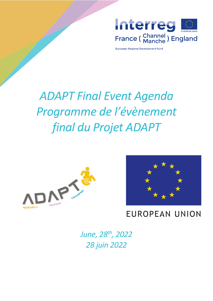

European Regional Development Fund

# *ADAPT Final Event Agenda Programme de l'évènement final du Projet ADAPT*





# **EUROPEAN UNION**

*June, 28th, 2022 28 juin 2022*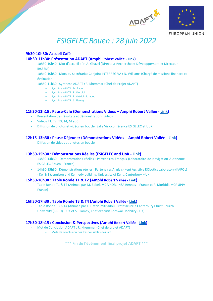



**EUROPEAN UNION** 

# *ESIGELEC Rouen : 28 juin 2022*

# **9h30-10h30: Accueil Café 10h30-11h30: Présentation ADAPT (Amphi Robert Vallée - [Link](https://teams.microsoft.com/dl/launcher/launcher.html?url=%2F_%23%2Fl%2Fmeetup-join%2F19%3Ameeting_MjQ0ODNkOTctNWU1Yi00NDUzLWIxNTgtZWU0OGNiNWMwMGUy%40thread.v2%2F0%3Fcontext%3D%257b%2522Tid%2522%253a%2522371cb156-9558-4286-a3cd-3059699b890c%2522%252c%2522Oid%2522%253a%2522e00f3efa-a490-4ef6-8857-648b96a7805b%2522%257d%26anon%3Dtrue&type=meetup-join&deeplinkId=d2bda378-01e3-4f14-b3f8-462cc0947079&directDl=true&msLaunch=true&enableMobilePage=true&suppressPrompt=true))**

- 10h30-10h40 : Mot d'accueil : Pr. A. Ghazel (Directeur Recherche et Développement et Directeur IRSEEM)
- 10h40-10h50 : Mots du Secrétariat Conjoint INTERREG VA : N. Williams (Chargé de missions finances et évaluation)
- 10h50-11h30 : Synthèse ADAPT : R. Khemmar (Chef de Projet ADAPT)
	- o Synthèse WP#T1 : M. Babel
	- o Synthèse WP#T2 : F. Morbidi
	- o Synthèse WP#T3 : E. Hatzidimitriadou
	- o Synthèse WP#T4 : S. Blamey

# **11h30-12h15 : Pause-Café (Démonstrations Vidéos – Amphi Robert Vallée - [Link\)](https://teams.microsoft.com/dl/launcher/launcher.html?url=%2F_%23%2Fl%2Fmeetup-join%2F19%3Ameeting_MjQ0ODNkOTctNWU1Yi00NDUzLWIxNTgtZWU0OGNiNWMwMGUy%40thread.v2%2F0%3Fcontext%3D%257b%2522Tid%2522%253a%2522371cb156-9558-4286-a3cd-3059699b890c%2522%252c%2522Oid%2522%253a%2522e00f3efa-a490-4ef6-8857-648b96a7805b%2522%257d%26anon%3Dtrue&type=meetup-join&deeplinkId=d2bda378-01e3-4f14-b3f8-462cc0947079&directDl=true&msLaunch=true&enableMobilePage=true&suppressPrompt=true)**

- Présentation des résultats et démonstrations vidéos
- Vidéos T1, T2, T3, T4, M et C

- Diffusion de photos et vidéos en boucle (Salle Visioconférence ESIGELEC et UoK)

# **12h15-13h30 : Pause Déjeuner (Démonstrations Vidéos – Amphi Robert Vallée - [Link\)](https://teams.microsoft.com/dl/launcher/launcher.html?url=%2F_%23%2Fl%2Fmeetup-join%2F19%3Ameeting_MjQ0ODNkOTctNWU1Yi00NDUzLWIxNTgtZWU0OGNiNWMwMGUy%40thread.v2%2F0%3Fcontext%3D%257b%2522Tid%2522%253a%2522371cb156-9558-4286-a3cd-3059699b890c%2522%252c%2522Oid%2522%253a%2522e00f3efa-a490-4ef6-8857-648b96a7805b%2522%257d%26anon%3Dtrue&type=meetup-join&deeplinkId=d2bda378-01e3-4f14-b3f8-462cc0947079&directDl=true&msLaunch=true&enableMobilePage=true&suppressPrompt=true)**

Diffusion de vidéos et photos en boucle

## **13h30-15h30 : Démonstrations Réelles (ESIGELEC and UoK - [Link\)](https://teams.microsoft.com/dl/launcher/launcher.html?url=%2F_%23%2Fl%2Fmeetup-join%2F19%3Ameeting_MjQ0ODNkOTctNWU1Yi00NDUzLWIxNTgtZWU0OGNiNWMwMGUy%40thread.v2%2F0%3Fcontext%3D%257b%2522Tid%2522%253a%2522371cb156-9558-4286-a3cd-3059699b890c%2522%252c%2522Oid%2522%253a%2522e00f3efa-a490-4ef6-8857-648b96a7805b%2522%257d%26anon%3Dtrue&type=meetup-join&deeplinkId=d2bda378-01e3-4f14-b3f8-462cc0947079&directDl=true&msLaunch=true&enableMobilePage=true&suppressPrompt=true)**

- 13h30-14h30 : Démonstrations réelles : Partenaires Français (Laboratoire de Navigation Autonome ESIGELEC Rouen - France)
- 14h30-15h30 : Démonstrations réelles : Partenaires Anglais (Kent Assistive RObotics Laboratory (KAROL) - KenSr1 (Jennison and Kennedy building, University of Kent, Canterbury – UK)

## **15h30-16h30 : Table Ronde T1 & T2 (Amphi Robert Vallée - [Link](https://teams.microsoft.com/dl/launcher/launcher.html?url=%2F_%23%2Fl%2Fmeetup-join%2F19%3Ameeting_MjQ0ODNkOTctNWU1Yi00NDUzLWIxNTgtZWU0OGNiNWMwMGUy%40thread.v2%2F0%3Fcontext%3D%257b%2522Tid%2522%253a%2522371cb156-9558-4286-a3cd-3059699b890c%2522%252c%2522Oid%2522%253a%2522e00f3efa-a490-4ef6-8857-648b96a7805b%2522%257d%26anon%3Dtrue&type=meetup-join&deeplinkId=d2bda378-01e3-4f14-b3f8-462cc0947079&directDl=true&msLaunch=true&enableMobilePage=true&suppressPrompt=true))**

- Table Ronde T1 & T2 (Animée par M. Babel, MCF/HDR, INSA Rennes – France et F. Morbidi, MCF UPJV - France)

## **16h30-17h30 : Table Ronde T3 & T4 (Amphi Robert Vallée - [Link](https://teams.microsoft.com/dl/launcher/launcher.html?url=%2F_%23%2Fl%2Fmeetup-join%2F19%3Ameeting_MjQ0ODNkOTctNWU1Yi00NDUzLWIxNTgtZWU0OGNiNWMwMGUy%40thread.v2%2F0%3Fcontext%3D%257b%2522Tid%2522%253a%2522371cb156-9558-4286-a3cd-3059699b890c%2522%252c%2522Oid%2522%253a%2522e00f3efa-a490-4ef6-8857-648b96a7805b%2522%257d%26anon%3Dtrue&type=meetup-join&deeplinkId=d2bda378-01e3-4f14-b3f8-462cc0947079&directDl=true&msLaunch=true&enableMobilePage=true&suppressPrompt=true))**

- Table Ronde T3 & T4 (Animée par E. Hatzidimitriadou, Professeure à Canterbury Christ Church University (CCCU) – UK et S. Blamey, Chef exécutif Cornwall Mobility - UK)

# **17h30-18h15 : Conclusion & Perspectives (Amphi Robert Vallée - [Link](https://teams.microsoft.com/dl/launcher/launcher.html?url=%2F_%23%2Fl%2Fmeetup-join%2F19%3Ameeting_MjQ0ODNkOTctNWU1Yi00NDUzLWIxNTgtZWU0OGNiNWMwMGUy%40thread.v2%2F0%3Fcontext%3D%257b%2522Tid%2522%253a%2522371cb156-9558-4286-a3cd-3059699b890c%2522%252c%2522Oid%2522%253a%2522e00f3efa-a490-4ef6-8857-648b96a7805b%2522%257d%26anon%3Dtrue&type=meetup-join&deeplinkId=d2bda378-01e3-4f14-b3f8-462cc0947079&directDl=true&msLaunch=true&enableMobilePage=true&suppressPrompt=true))**

- Mot de Conclusion ADAPT : R. Khemmar (Chef de projet ADAPT)
	- o Mots de conclusion des Responsables des WP

\*\*\* Fin de l'évènement final projet ADAPT \*\*\*